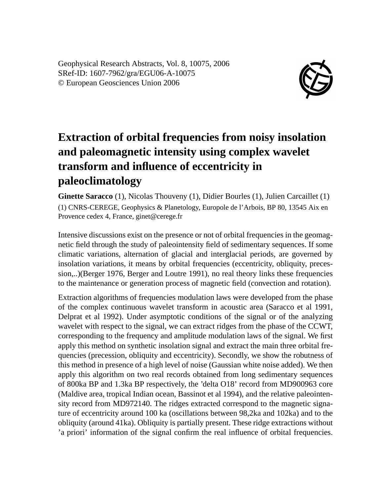Geophysical Research Abstracts, Vol. 8, 10075, 2006 SRef-ID: 1607-7962/gra/EGU06-A-10075 © European Geosciences Union 2006



## **Extraction of orbital frequencies from noisy insolation and paleomagnetic intensity using complex wavelet transform and influence of eccentricity in paleoclimatology**

**Ginette Saracco** (1), Nicolas Thouveny (1), Didier Bourles (1), Julien Carcaillet (1) (1) CNRS-CEREGE, Geophysics & Planetology, Europole de l'Arbois, BP 80, 13545 Aix en Provence cedex 4, France, ginet@cerege.fr

Intensive discussions exist on the presence or not of orbital frequencies in the geomagnetic field through the study of paleointensity field of sedimentary sequences. If some climatic variations, alternation of glacial and interglacial periods, are governed by insolation variations, it means by orbital frequencies (eccentricity, obliquity, precession,..)(Berger 1976, Berger and Loutre 1991), no real theory links these frequencies to the maintenance or generation process of magnetic field (convection and rotation).

Extraction algorithms of frequencies modulation laws were developed from the phase of the complex continuous wavelet transform in acoustic area (Saracco et al 1991, Delprat et al 1992). Under asymptotic conditions of the signal or of the analyzing wavelet with respect to the signal, we can extract ridges from the phase of the CCWT, corresponding to the frequency and amplitude modulation laws of the signal. We first apply this method on synthetic insolation signal and extract the main three orbital frequencies (precession, obliquity and eccentricity). Secondly, we show the robutness of this method in presence of a high level of noise (Gaussian white noise added). We then apply this algorithm on two real records obtained from long sedimentary sequences of 800ka BP and 1.3ka BP respectively, the 'delta O18' record from MD900963 core (Maldive area, tropical Indian ocean, Bassinot et al 1994), and the relative paleointensity record from MD972140. The ridges extracted correspond to the magnetic signature of eccentricity around 100 ka (oscillations between 98,2ka and 102ka) and to the obliquity (around 41ka). Obliquity is partially present. These ridge extractions without 'a priori' information of the signal confirm the real influence of orbital frequencies.